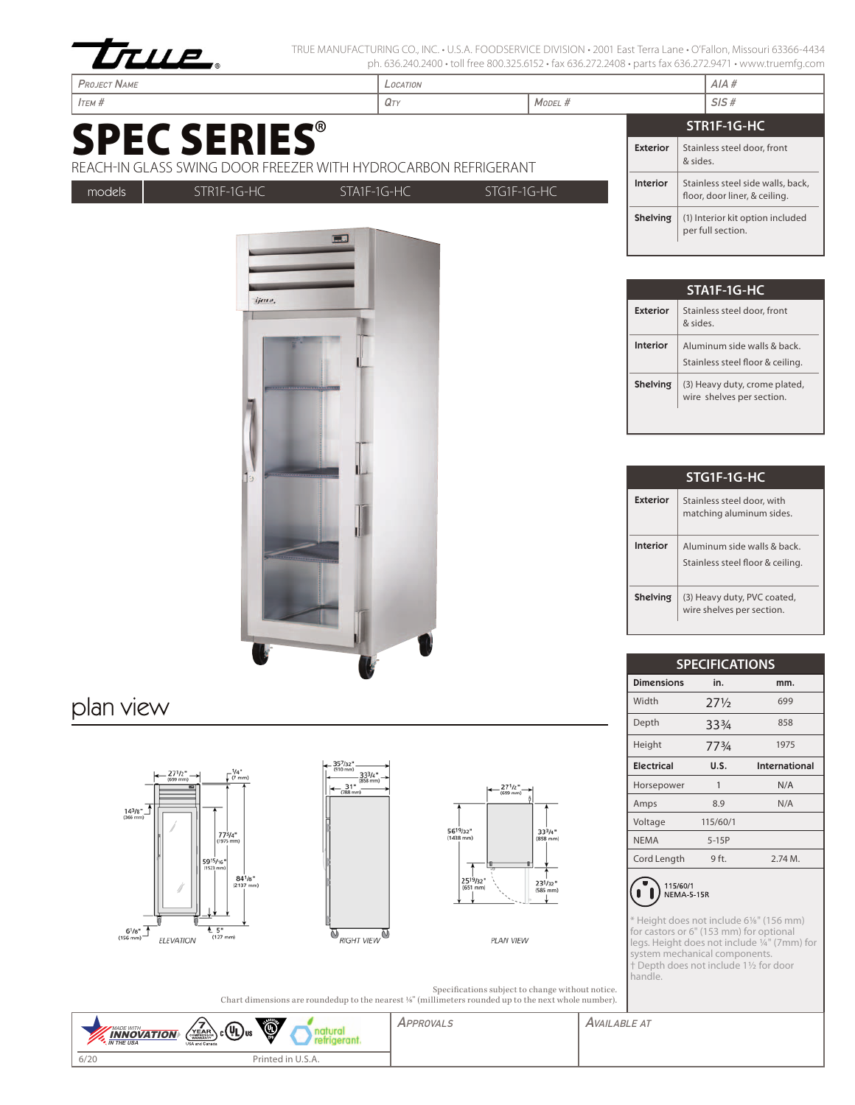

TRUE MANUFACTURING CO., INC. • U.S.A. FOODSERVICE DIVISION • 2001 East Terra Lane • O'Fallon, Missouri 63366-4434 ph. 636.240.2400 • toll free 800.325.6152 • fax 636.272.2408 • parts fax 636.272.9471 • www.truemfg.com

| <b>PROJECT NAME</b>                                                                   |  | LOCATION        |                                                                    |                 | AIA#                                                  |  |
|---------------------------------------------------------------------------------------|--|-----------------|--------------------------------------------------------------------|-----------------|-------------------------------------------------------|--|
| $I$ TEM $#$                                                                           |  | $Q_{TY}$        | MODEL #                                                            |                 | SIS#                                                  |  |
| <b>SPEC SERIES®</b><br>REACH-IN GLASS SWING DOOR FREEZER WITH HYDROCARBON REFRIGERANT |  |                 |                                                                    |                 | STR1F-1G-HC                                           |  |
|                                                                                       |  |                 |                                                                    | <b>Exterior</b> | Stainless steel door, front<br>& sides.               |  |
| models<br>STR1F-1G-HC<br>STG1F-1G-HC<br>$STA1F-1G-HC$                                 |  | <b>Interior</b> | Stainless steel side walls, back,<br>floor, door liner, & ceiling. |                 |                                                       |  |
|                                                                                       |  |                 |                                                                    | Shelving        | (1) Interior kit option included<br>per full section. |  |

| STA1F-1G-HC                                                                |                                                            |  |  |  |
|----------------------------------------------------------------------------|------------------------------------------------------------|--|--|--|
| Exterior                                                                   | Stainless steel door, front<br>aniz &                      |  |  |  |
| Interior<br>Aluminum side walls & back<br>Stainless steel floor & ceiling. |                                                            |  |  |  |
| Shelving                                                                   | (3) Heavy duty, crome plated,<br>wire shelves per section. |  |  |  |

| STG1F-1G-HC |                                                                |  |  |  |  |
|-------------|----------------------------------------------------------------|--|--|--|--|
| Exterior    | Stainless steel door, with<br>matching aluminum sides.         |  |  |  |  |
| Interior    | Aluminum side walls & back<br>Stainless steel floor & ceiling. |  |  |  |  |
| Shelving    | (3) Heavy duty, PVC coated,<br>wire shelves per section.       |  |  |  |  |

| <b>SPECIFICATIONS</b> |                 |               |  |  |
|-----------------------|-----------------|---------------|--|--|
| <b>Dimensions</b>     | in.             | mm.           |  |  |
| Width                 | $27\frac{1}{2}$ | 699           |  |  |
| Depth                 | 334             | 858           |  |  |
| Height                | 773/4           | 1975          |  |  |
| <b>Electrical</b>     | U.S.            | International |  |  |
| Horsepower            | 1               | N/A           |  |  |
| Amps                  | 8.9             | N/A           |  |  |
| Voltage               | 115/60/1        |               |  |  |
| <b>NEMA</b>           | $5-15P$         |               |  |  |
| Cord Length           | 9 ft.           | $2.74M$ .     |  |  |
|                       |                 |               |  |  |



\* Height does not include 61/8" (156 mm) for castors or 6" (153 mm) for optional legs. Height does not include 1/4" (7mm) for system mechanical components. † Depth does not include 11/2 for door handle.

|           | ijens.          |                   | STA1F-1G                         |
|-----------|-----------------|-------------------|----------------------------------|
|           |                 | <b>Exterior</b>   | Stainless steel<br>& sides.      |
|           |                 | Interior          | Aluminum sid<br>Stainless steel  |
|           |                 | Shelving          | (3) Heavy duty<br>wire shelves p |
|           |                 |                   |                                  |
|           |                 |                   | STG1F-1G                         |
|           |                 | <b>Exterior</b>   | Stainless steel<br>matching alun |
|           |                 | Interior          | Aluminum sid<br>Stainless steel  |
|           |                 | Shelving          | (3) Heavy duty<br>wire shelves p |
|           |                 |                   |                                  |
|           |                 |                   | <b>SPECIFICAT</b>                |
|           |                 | <b>Dimensions</b> | in.                              |
| plan view |                 | Width             | $27\frac{1}{2}$                  |
|           |                 | Depth             | 334                              |
|           |                 | Height            | 773/4                            |
|           | $1.257$ $1.257$ | $-1$ $-1$ $-1$    |                                  |



ELEVATION

 $E_{(127 mm)}$ 

 $6^{1/8}$ <sup>\*</sup>





PLAN VIEW

Specifications subject to change without notice. Chart dimensions are roundedup to the nearest 1/8" (millimeters rounded up to the next whole number).